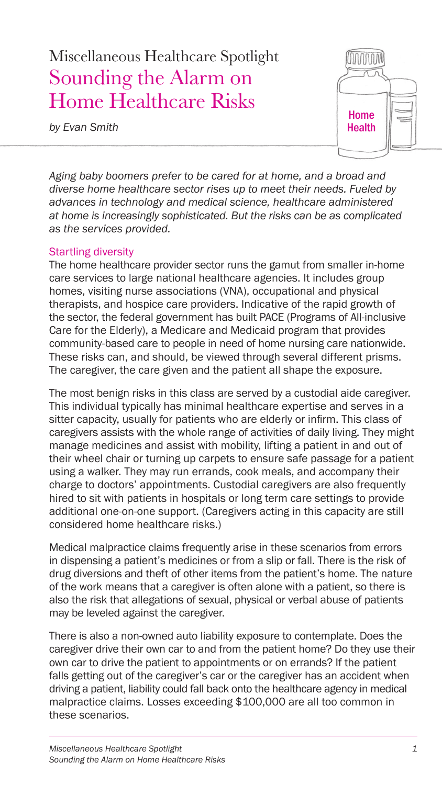## Miscellaneous Healthcare Spotlight Sounding the Alarm on Home Healthcare Risks

*by Evan Smith*



*Aging baby boomers prefer to be cared for at home, and a broad and diverse home healthcare sector rises up to meet their needs. Fueled by advances in technology and medical science, healthcare administered at home is increasingly sophisticated. But the risks can be as complicated as the services provided.*

## Startling diversity

The home healthcare provider sector runs the gamut from smaller in-home care services to large national healthcare agencies. It includes group homes, visiting nurse associations (VNA), occupational and physical therapists, and hospice care providers. Indicative of the rapid growth of the sector, the federal government has built PACE (Programs of All-inclusive Care for the Elderly), a Medicare and Medicaid program that provides community-based care to people in need of home nursing care nationwide. These risks can, and should, be viewed through several different prisms. The caregiver, the care given and the patient all shape the exposure.

The most benign risks in this class are served by a custodial aide caregiver. This individual typically has minimal healthcare expertise and serves in a sitter capacity, usually for patients who are elderly or infirm. This class of caregivers assists with the whole range of activities of daily living. They might manage medicines and assist with mobility, lifting a patient in and out of their wheel chair or turning up carpets to ensure safe passage for a patient using a walker. They may run errands, cook meals, and accompany their charge to doctors' appointments. Custodial caregivers are also frequently hired to sit with patients in hospitals or long term care settings to provide additional one-on-one support. (Caregivers acting in this capacity are still considered home healthcare risks.)

Medical malpractice claims frequently arise in these scenarios from errors in dispensing a patient's medicines or from a slip or fall. There is the risk of drug diversions and theft of other items from the patient's home. The nature of the work means that a caregiver is often alone with a patient, so there is also the risk that allegations of sexual, physical or verbal abuse of patients may be leveled against the caregiver.

There is also a non-owned auto liability exposure to contemplate. Does the caregiver drive their own car to and from the patient home? Do they use their own car to drive the patient to appointments or on errands? If the patient falls getting out of the caregiver's car or the caregiver has an accident when driving a patient, liability could fall back onto the healthcare agency in medical malpractice claims. Losses exceeding \$100,000 are all too common in these scenarios.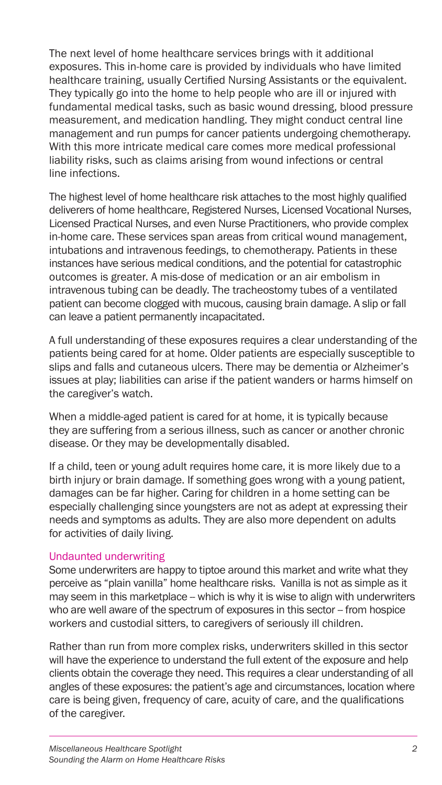The next level of home healthcare services brings with it additional exposures. This in-home care is provided by individuals who have limited healthcare training, usually Certified Nursing Assistants or the equivalent. They typically go into the home to help people who are ill or injured with fundamental medical tasks, such as basic wound dressing, blood pressure measurement, and medication handling. They might conduct central line management and run pumps for cancer patients undergoing chemotherapy. With this more intricate medical care comes more medical professional liability risks, such as claims arising from wound infections or central line infections.

The highest level of home healthcare risk attaches to the most highly qualified deliverers of home healthcare, Registered Nurses, Licensed Vocational Nurses, Licensed Practical Nurses, and even Nurse Practitioners, who provide complex in-home care. These services span areas from critical wound management, intubations and intravenous feedings, to chemotherapy. Patients in these instances have serious medical conditions, and the potential for catastrophic outcomes is greater. A mis-dose of medication or an air embolism in intravenous tubing can be deadly. The tracheostomy tubes of a ventilated patient can become clogged with mucous, causing brain damage. A slip or fall can leave a patient permanently incapacitated.

A full understanding of these exposures requires a clear understanding of the patients being cared for at home. Older patients are especially susceptible to slips and falls and cutaneous ulcers. There may be dementia or Alzheimer's issues at play; liabilities can arise if the patient wanders or harms himself on the caregiver's watch.

When a middle-aged patient is cared for at home, it is typically because they are suffering from a serious illness, such as cancer or another chronic disease. Or they may be developmentally disabled.

If a child, teen or young adult requires home care, it is more likely due to a birth injury or brain damage. If something goes wrong with a young patient, damages can be far higher. Caring for children in a home setting can be especially challenging since youngsters are not as adept at expressing their needs and symptoms as adults. They are also more dependent on adults for activities of daily living.

## Undaunted underwriting

Some underwriters are happy to tiptoe around this market and write what they perceive as "plain vanilla" home healthcare risks. Vanilla is not as simple as it may seem in this marketplace - which is why it is wise to align with underwriters who are well aware of the spectrum of exposures in this sector -- from hospice workers and custodial sitters, to caregivers of seriously ill children.

Rather than run from more complex risks, underwriters skilled in this sector will have the experience to understand the full extent of the exposure and help clients obtain the coverage they need. This requires a clear understanding of all angles of these exposures: the patient's age and circumstances, location where care is being given, frequency of care, acuity of care, and the qualifications of the caregiver.